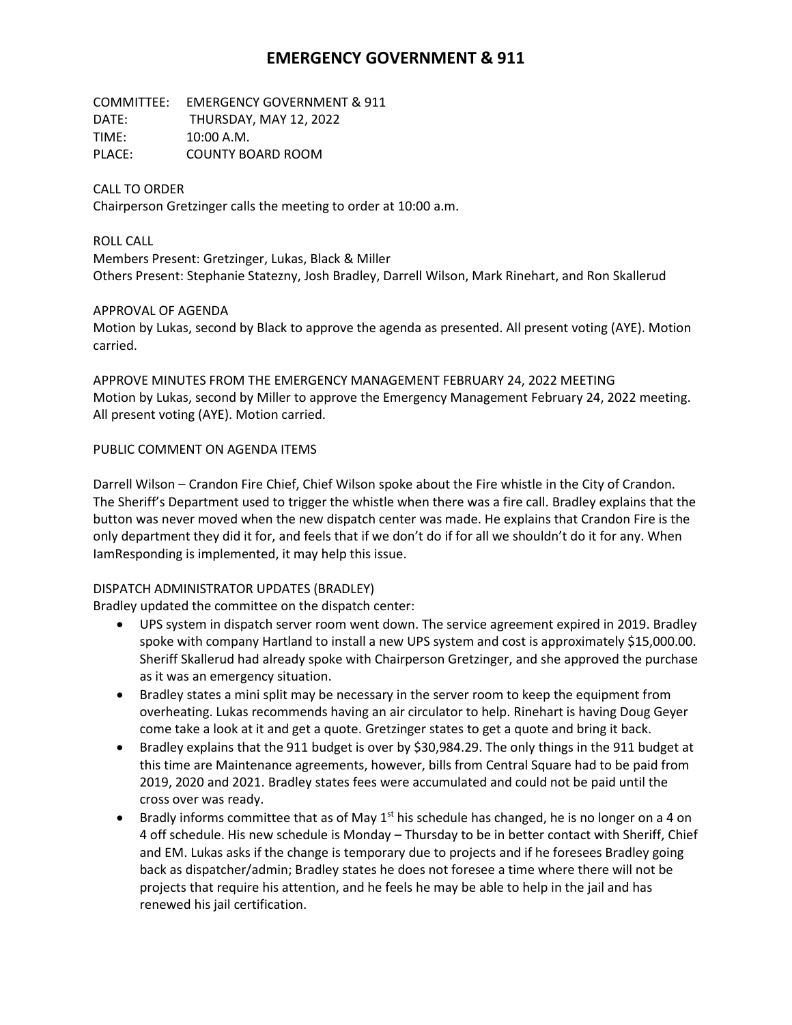# **EMERGENCY GOVERNMENT & 911**

COMMITTEE: EMERGENCY GOVERNMENT & 911 DATE: THURSDAY, MAY 12, 2022 TIME: 10:00 A.M. PLACE: COUNTY BOARD ROOM

### CALL TO ORDER

Chairperson Gretzinger calls the meeting to order at 10:00 a.m.

#### ROLL CALL

Members Present: Gretzinger, Lukas, Black & Miller Others Present: Stephanie Statezny, Josh Bradley, Darrell Wilson, Mark Rinehart, and Ron Skallerud

#### APPROVAL OF AGENDA

Motion by Lukas, second by Black to approve the agenda as presented. All present voting (AYE). Motion carried.

APPROVE MINUTES FROM THE EMERGENCY MANAGEMENT FEBRUARY 24, 2022 MEETING Motion by Lukas, second by Miller to approve the Emergency Management February 24, 2022 meeting. All present voting (AYE). Motion carried.

### PUBLIC COMMENT ON AGENDA ITEMS

Darrell Wilson – Crandon Fire Chief, Chief Wilson spoke about the Fire whistle in the City of Crandon. The Sheriff's Department used to trigger the whistle when there was a fire call. Bradley explains that the button was never moved when the new dispatch center was made. He explains that Crandon Fire is the only department they did it for, and feels that if we don't do if for all we shouldn't do it for any. When IamResponding is implemented, it may help this issue.

### DISPATCH ADMINISTRATOR UPDATES (BRADLEY)

Bradley updated the committee on the dispatch center:

- UPS system in dispatch server room went down. The service agreement expired in 2019. Bradley spoke with company Hartland to install a new UPS system and cost is approximately \$15,000.00. Sheriff Skallerud had already spoke with Chairperson Gretzinger, and she approved the purchase as it was an emergency situation.
- Bradley states a mini split may be necessary in the server room to keep the equipment from overheating. Lukas recommends having an air circulator to help. Rinehart is having Doug Geyer come take a look at it and get a quote. Gretzinger states to get a quote and bring it back.
- Bradley explains that the 911 budget is over by \$30,984.29. The only things in the 911 budget at this time are Maintenance agreements, however, bills from Central Square had to be paid from 2019, 2020 and 2021. Bradley states fees were accumulated and could not be paid until the cross over was ready.
- Bradly informs committee that as of May  $1<sup>st</sup>$  his schedule has changed, he is no longer on a 4 on 4 off schedule. His new schedule is Monday – Thursday to be in better contact with Sheriff, Chief and EM. Lukas asks if the change is temporary due to projects and if he foresees Bradley going back as dispatcher/admin; Bradley states he does not foresee a time where there will not be projects that require his attention, and he feels he may be able to help in the jail and has renewed his jail certification.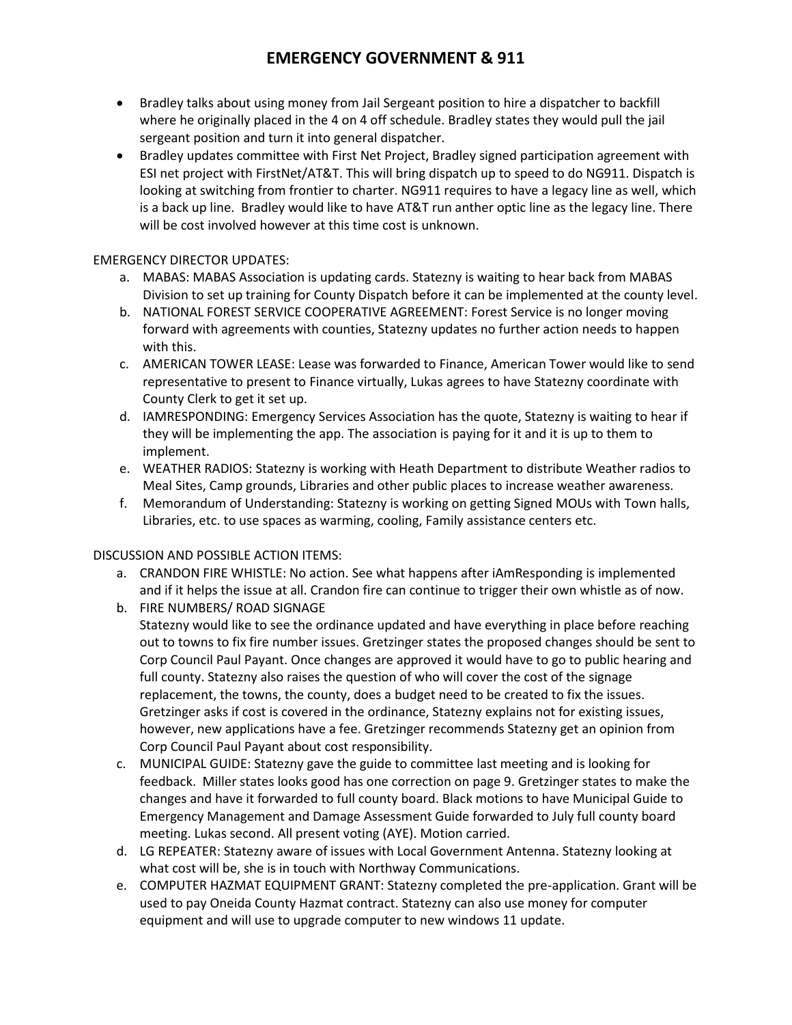# **EMERGENCY GOVERNMENT & 911**

- Bradley talks about using money from Jail Sergeant position to hire a dispatcher to backfill where he originally placed in the 4 on 4 off schedule. Bradley states they would pull the jail sergeant position and turn it into general dispatcher.
- Bradley updates committee with First Net Project, Bradley signed participation agreement with ESI net project with FirstNet/AT&T. This will bring dispatch up to speed to do NG911. Dispatch is looking at switching from frontier to charter. NG911 requires to have a legacy line as well, which is a back up line. Bradley would like to have AT&T run anther optic line as the legacy line. There will be cost involved however at this time cost is unknown.

### EMERGENCY DIRECTOR UPDATES:

- a. MABAS: MABAS Association is updating cards. Statezny is waiting to hear back from MABAS Division to set up training for County Dispatch before it can be implemented at the county level.
- b. NATIONAL FOREST SERVICE COOPERATIVE AGREEMENT: Forest Service is no longer moving forward with agreements with counties, Statezny updates no further action needs to happen with this.
- c. AMERICAN TOWER LEASE: Lease was forwarded to Finance, American Tower would like to send representative to present to Finance virtually, Lukas agrees to have Statezny coordinate with County Clerk to get it set up.
- d. IAMRESPONDING: Emergency Services Association has the quote, Statezny is waiting to hear if they will be implementing the app. The association is paying for it and it is up to them to implement.
- e. WEATHER RADIOS: Statezny is working with Heath Department to distribute Weather radios to Meal Sites, Camp grounds, Libraries and other public places to increase weather awareness.
- f. Memorandum of Understanding: Statezny is working on getting Signed MOUs with Town halls, Libraries, etc. to use spaces as warming, cooling, Family assistance centers etc.

### DISCUSSION AND POSSIBLE ACTION ITEMS:

- a. CRANDON FIRE WHISTLE: No action. See what happens after iAmResponding is implemented and if it helps the issue at all. Crandon fire can continue to trigger their own whistle as of now. b. FIRE NUMBERS/ ROAD SIGNAGE
- Statezny would like to see the ordinance updated and have everything in place before reaching out to towns to fix fire number issues. Gretzinger states the proposed changes should be sent to Corp Council Paul Payant. Once changes are approved it would have to go to public hearing and full county. Statezny also raises the question of who will cover the cost of the signage replacement, the towns, the county, does a budget need to be created to fix the issues. Gretzinger asks if cost is covered in the ordinance, Statezny explains not for existing issues, however, new applications have a fee. Gretzinger recommends Statezny get an opinion from Corp Council Paul Payant about cost responsibility.
- c. MUNICIPAL GUIDE: Statezny gave the guide to committee last meeting and is looking for feedback. Miller states looks good has one correction on page 9. Gretzinger states to make the changes and have it forwarded to full county board. Black motions to have Municipal Guide to Emergency Management and Damage Assessment Guide forwarded to July full county board meeting. Lukas second. All present voting (AYE). Motion carried.
- d. LG REPEATER: Statezny aware of issues with Local Government Antenna. Statezny looking at what cost will be, she is in touch with Northway Communications.
- e. COMPUTER HAZMAT EQUIPMENT GRANT: Statezny completed the pre-application. Grant will be used to pay Oneida County Hazmat contract. Statezny can also use money for computer equipment and will use to upgrade computer to new windows 11 update.